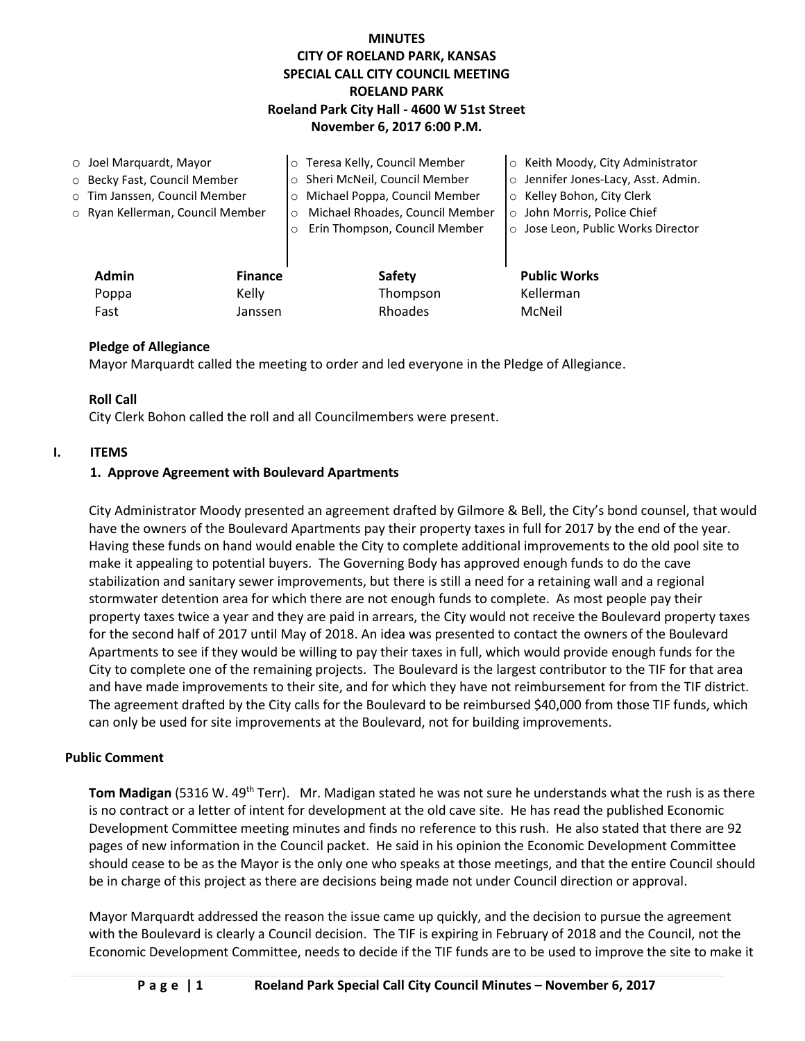# **MINUTES CITY OF ROELAND PARK, KANSAS SPECIAL CALL CITY COUNCIL MEETING ROELAND PARK Roeland Park City Hall - 4600 W 51st Street November 6, 2017 6:00 P.M.**

| $\circ$ Joel Marquardt, Mayor |                                  |                | o Teresa Kelly, Council Member             | ○ Keith Moody, City Administrator   |
|-------------------------------|----------------------------------|----------------|--------------------------------------------|-------------------------------------|
| O Becky Fast, Council Member  |                                  |                | o Sheri McNeil, Council Member             | o Jennifer Jones-Lacy, Asst. Admin. |
|                               | o Tim Janssen, Council Member    |                | o Michael Poppa, Council Member            | ○ Kelley Bohon, City Clerk          |
|                               | ○ Ryan Kellerman, Council Member |                | Michael Rhoades, Council Member<br>$\circ$ | o John Morris, Police Chief         |
|                               |                                  |                | Erin Thompson, Council Member<br>$\circ$   | ○ Jose Leon, Public Works Director  |
|                               |                                  |                |                                            |                                     |
|                               | <b>Admin</b>                     | <b>Finance</b> | <b>Safety</b>                              | <b>Public Works</b>                 |
|                               | Poppa                            | Kelly          | Thompson                                   | Kellerman                           |
|                               | Fast                             | Janssen        | Rhoades                                    | McNeil                              |

## **Pledge of Allegiance**

Mayor Marquardt called the meeting to order and led everyone in the Pledge of Allegiance.

## **Roll Call**

City Clerk Bohon called the roll and all Councilmembers were present.

## **I. ITEMS**

## **1. Approve Agreement with Boulevard Apartments**

City Administrator Moody presented an agreement drafted by Gilmore & Bell, the City's bond counsel, that would have the owners of the Boulevard Apartments pay their property taxes in full for 2017 by the end of the year. Having these funds on hand would enable the City to complete additional improvements to the old pool site to make it appealing to potential buyers. The Governing Body has approved enough funds to do the cave stabilization and sanitary sewer improvements, but there is still a need for a retaining wall and a regional stormwater detention area for which there are not enough funds to complete. As most people pay their property taxes twice a year and they are paid in arrears, the City would not receive the Boulevard property taxes for the second half of 2017 until May of 2018. An idea was presented to contact the owners of the Boulevard Apartments to see if they would be willing to pay their taxes in full, which would provide enough funds for the City to complete one of the remaining projects. The Boulevard is the largest contributor to the TIF for that area and have made improvements to their site, and for which they have not reimbursement for from the TIF district. The agreement drafted by the City calls for the Boulevard to be reimbursed \$40,000 from those TIF funds, which can only be used for site improvements at the Boulevard, not for building improvements.

## **Public Comment**

Tom Madigan (5316 W. 49<sup>th</sup> Terr). Mr. Madigan stated he was not sure he understands what the rush is as there is no contract or a letter of intent for development at the old cave site. He has read the published Economic Development Committee meeting minutes and finds no reference to this rush. He also stated that there are 92 pages of new information in the Council packet. He said in his opinion the Economic Development Committee should cease to be as the Mayor is the only one who speaks at those meetings, and that the entire Council should be in charge of this project as there are decisions being made not under Council direction or approval.

Mayor Marquardt addressed the reason the issue came up quickly, and the decision to pursue the agreement with the Boulevard is clearly a Council decision. The TIF is expiring in February of 2018 and the Council, not the Economic Development Committee, needs to decide if the TIF funds are to be used to improve the site to make it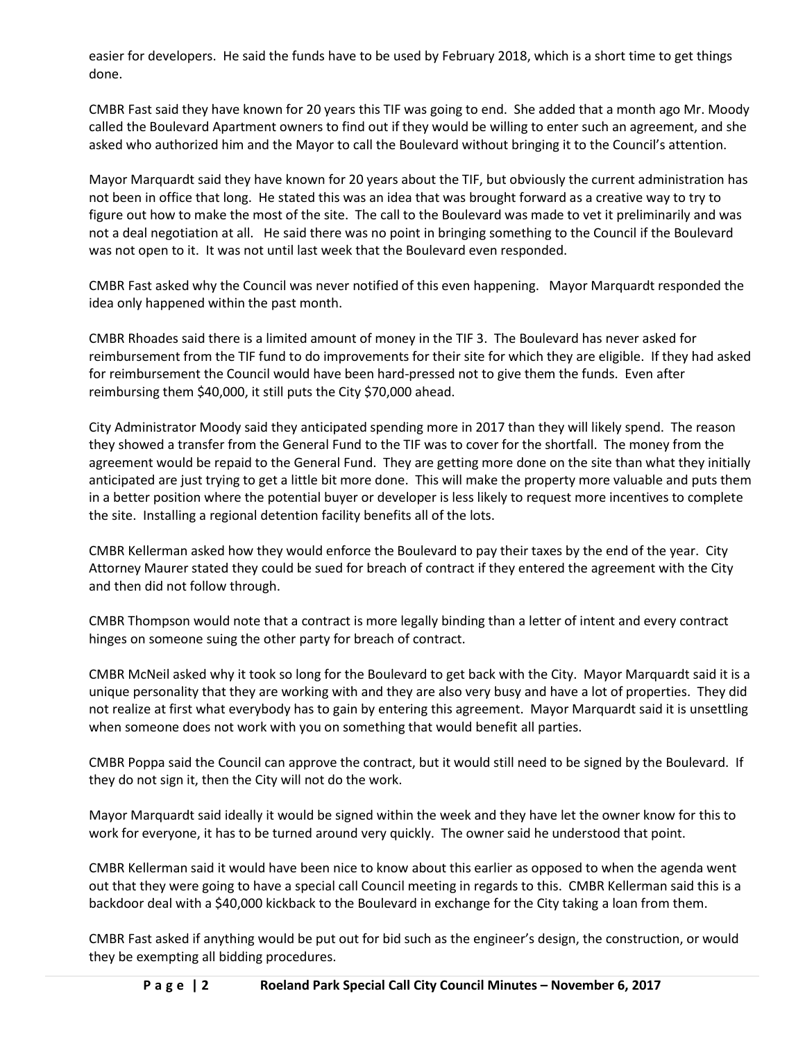easier for developers. He said the funds have to be used by February 2018, which is a short time to get things done.

CMBR Fast said they have known for 20 years this TIF was going to end. She added that a month ago Mr. Moody called the Boulevard Apartment owners to find out if they would be willing to enter such an agreement, and she asked who authorized him and the Mayor to call the Boulevard without bringing it to the Council's attention.

Mayor Marquardt said they have known for 20 years about the TIF, but obviously the current administration has not been in office that long. He stated this was an idea that was brought forward as a creative way to try to figure out how to make the most of the site. The call to the Boulevard was made to vet it preliminarily and was not a deal negotiation at all. He said there was no point in bringing something to the Council if the Boulevard was not open to it. It was not until last week that the Boulevard even responded.

CMBR Fast asked why the Council was never notified of this even happening. Mayor Marquardt responded the idea only happened within the past month.

CMBR Rhoades said there is a limited amount of money in the TIF 3. The Boulevard has never asked for reimbursement from the TIF fund to do improvements for their site for which they are eligible. If they had asked for reimbursement the Council would have been hard-pressed not to give them the funds. Even after reimbursing them \$40,000, it still puts the City \$70,000 ahead.

City Administrator Moody said they anticipated spending more in 2017 than they will likely spend. The reason they showed a transfer from the General Fund to the TIF was to cover for the shortfall. The money from the agreement would be repaid to the General Fund. They are getting more done on the site than what they initially anticipated are just trying to get a little bit more done. This will make the property more valuable and puts them in a better position where the potential buyer or developer is less likely to request more incentives to complete the site. Installing a regional detention facility benefits all of the lots.

CMBR Kellerman asked how they would enforce the Boulevard to pay their taxes by the end of the year. City Attorney Maurer stated they could be sued for breach of contract if they entered the agreement with the City and then did not follow through.

CMBR Thompson would note that a contract is more legally binding than a letter of intent and every contract hinges on someone suing the other party for breach of contract.

CMBR McNeil asked why it took so long for the Boulevard to get back with the City. Mayor Marquardt said it is a unique personality that they are working with and they are also very busy and have a lot of properties. They did not realize at first what everybody has to gain by entering this agreement. Mayor Marquardt said it is unsettling when someone does not work with you on something that would benefit all parties.

CMBR Poppa said the Council can approve the contract, but it would still need to be signed by the Boulevard. If they do not sign it, then the City will not do the work.

Mayor Marquardt said ideally it would be signed within the week and they have let the owner know for this to work for everyone, it has to be turned around very quickly. The owner said he understood that point.

CMBR Kellerman said it would have been nice to know about this earlier as opposed to when the agenda went out that they were going to have a special call Council meeting in regards to this. CMBR Kellerman said this is a backdoor deal with a \$40,000 kickback to the Boulevard in exchange for the City taking a loan from them.

CMBR Fast asked if anything would be put out for bid such as the engineer's design, the construction, or would they be exempting all bidding procedures.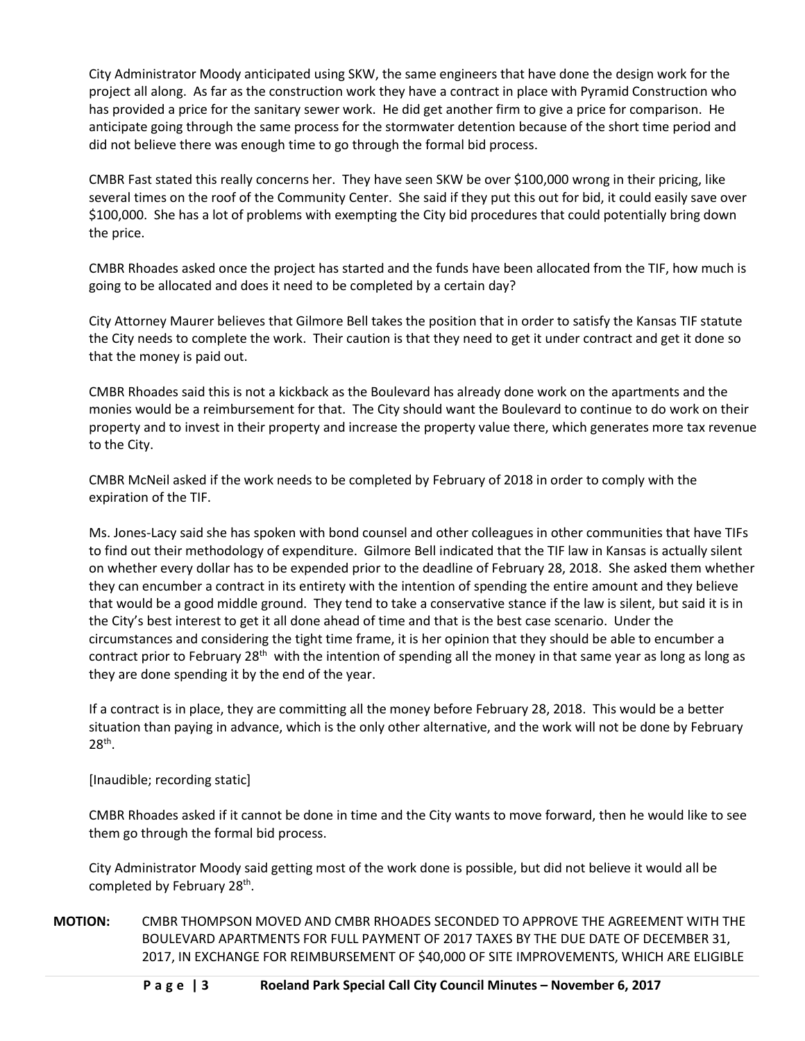City Administrator Moody anticipated using SKW, the same engineers that have done the design work for the project all along. As far as the construction work they have a contract in place with Pyramid Construction who has provided a price for the sanitary sewer work. He did get another firm to give a price for comparison. He anticipate going through the same process for the stormwater detention because of the short time period and did not believe there was enough time to go through the formal bid process.

CMBR Fast stated this really concerns her. They have seen SKW be over \$100,000 wrong in their pricing, like several times on the roof of the Community Center. She said if they put this out for bid, it could easily save over \$100,000. She has a lot of problems with exempting the City bid procedures that could potentially bring down the price.

CMBR Rhoades asked once the project has started and the funds have been allocated from the TIF, how much is going to be allocated and does it need to be completed by a certain day?

City Attorney Maurer believes that Gilmore Bell takes the position that in order to satisfy the Kansas TIF statute the City needs to complete the work. Their caution is that they need to get it under contract and get it done so that the money is paid out.

CMBR Rhoades said this is not a kickback as the Boulevard has already done work on the apartments and the monies would be a reimbursement for that. The City should want the Boulevard to continue to do work on their property and to invest in their property and increase the property value there, which generates more tax revenue to the City.

CMBR McNeil asked if the work needs to be completed by February of 2018 in order to comply with the expiration of the TIF.

Ms. Jones-Lacy said she has spoken with bond counsel and other colleagues in other communities that have TIFs to find out their methodology of expenditure. Gilmore Bell indicated that the TIF law in Kansas is actually silent on whether every dollar has to be expended prior to the deadline of February 28, 2018. She asked them whether they can encumber a contract in its entirety with the intention of spending the entire amount and they believe that would be a good middle ground. They tend to take a conservative stance if the law is silent, but said it is in the City's best interest to get it all done ahead of time and that is the best case scenario. Under the circumstances and considering the tight time frame, it is her opinion that they should be able to encumber a contract prior to February 28<sup>th</sup> with the intention of spending all the money in that same year as long as long as they are done spending it by the end of the year.

If a contract is in place, they are committing all the money before February 28, 2018. This would be a better situation than paying in advance, which is the only other alternative, and the work will not be done by February  $28^\mathrm{th}$ .

[Inaudible; recording static]

CMBR Rhoades asked if it cannot be done in time and the City wants to move forward, then he would like to see them go through the formal bid process.

City Administrator Moody said getting most of the work done is possible, but did not believe it would all be completed by February 28<sup>th</sup>.

**MOTION:** CMBR THOMPSON MOVED AND CMBR RHOADES SECONDED TO APPROVE THE AGREEMENT WITH THE BOULEVARD APARTMENTS FOR FULL PAYMENT OF 2017 TAXES BY THE DUE DATE OF DECEMBER 31, 2017, IN EXCHANGE FOR REIMBURSEMENT OF \$40,000 OF SITE IMPROVEMENTS, WHICH ARE ELIGIBLE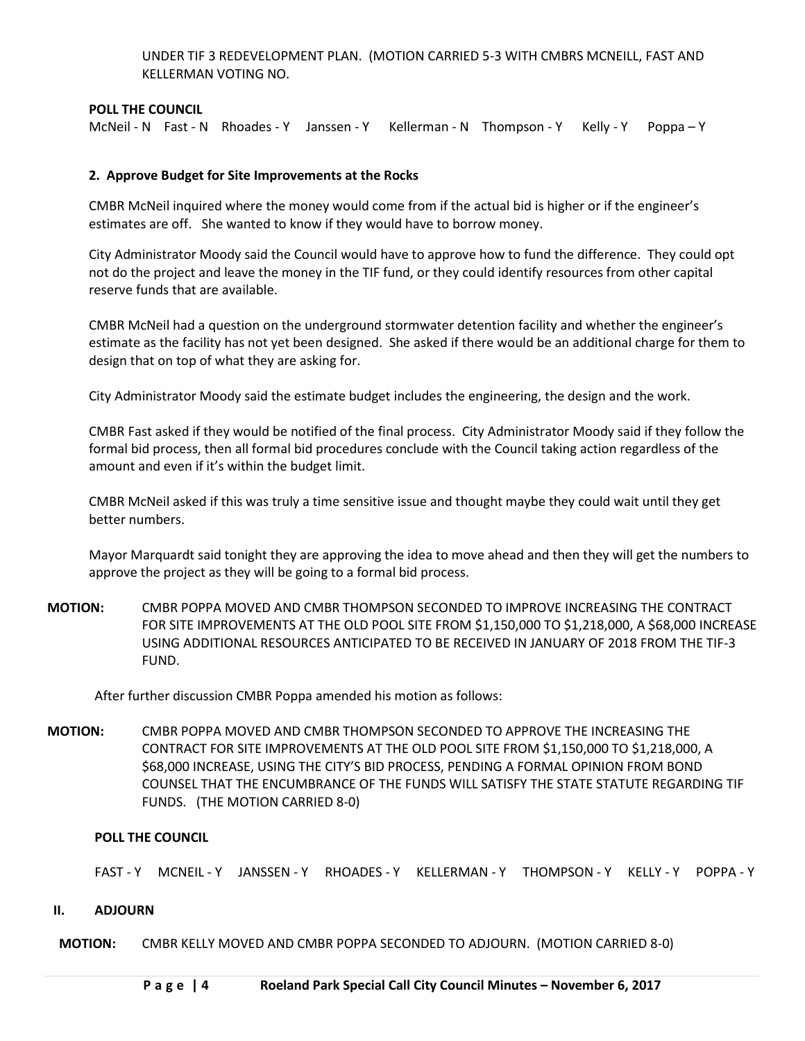UNDER TIF 3 REDEVELOPMENT PLAN. (MOTION CARRIED 5-3 WITH CMBRS MCNEILL, FAST AND KELLERMAN VOTING NO.

## **POLL THE COUNCIL**

McNeil - N Fast - N Rhoades - Y Janssen - Y Kellerman - N Thompson - Y Kelly - Y Poppa - Y

#### **2. Approve Budget for Site Improvements at the Rocks**

CMBR McNeil inquired where the money would come from if the actual bid is higher or if the engineer's estimates are off. She wanted to know if they would have to borrow money.

City Administrator Moody said the Council would have to approve how to fund the difference. They could opt not do the project and leave the money in the TIF fund, or they could identify resources from other capital reserve funds that are available.

CMBR McNeil had a question on the underground stormwater detention facility and whether the engineer's estimate as the facility has not yet been designed. She asked if there would be an additional charge for them to design that on top of what they are asking for.

City Administrator Moody said the estimate budget includes the engineering, the design and the work.

CMBR Fast asked if they would be notified of the final process. City Administrator Moody said if they follow the formal bid process, then all formal bid procedures conclude with the Council taking action regardless of the amount and even if it's within the budget limit.

CMBR McNeil asked if this was truly a time sensitive issue and thought maybe they could wait until they get better numbers.

Mayor Marquardt said tonight they are approving the idea to move ahead and then they will get the numbers to approve the project as they will be going to a formal bid process.

**MOTION:** CMBR POPPA MOVED AND CMBR THOMPSON SECONDED TO IMPROVE INCREASING THE CONTRACT FOR SITE IMPROVEMENTS AT THE OLD POOL SITE FROM \$1,150,000 TO \$1,218,000, A \$68,000 INCREASE USING ADDITIONAL RESOURCES ANTICIPATED TO BE RECEIVED IN JANUARY OF 2018 FROM THE TIF-3 FUND.

After further discussion CMBR Poppa amended his motion as follows:

**MOTION:** CMBR POPPA MOVED AND CMBR THOMPSON SECONDED TO APPROVE THE INCREASING THE CONTRACT FOR SITE IMPROVEMENTS AT THE OLD POOL SITE FROM \$1,150,000 TO \$1,218,000, A \$68,000 INCREASE, USING THE CITY'S BID PROCESS, PENDING A FORMAL OPINION FROM BOND COUNSEL THAT THE ENCUMBRANCE OF THE FUNDS WILL SATISFY THE STATE STATUTE REGARDING TIF FUNDS. (THE MOTION CARRIED 8-0)

#### **POLL THE COUNCIL**

FAST - Y MCNEIL - Y JANSSEN - Y RHOADES - Y KELLERMAN - Y THOMPSON - Y KELLY - Y POPPA - Y

#### **II. ADJOURN**

**MOTION:** CMBR KELLY MOVED AND CMBR POPPA SECONDED TO ADJOURN. (MOTION CARRIED 8-0)